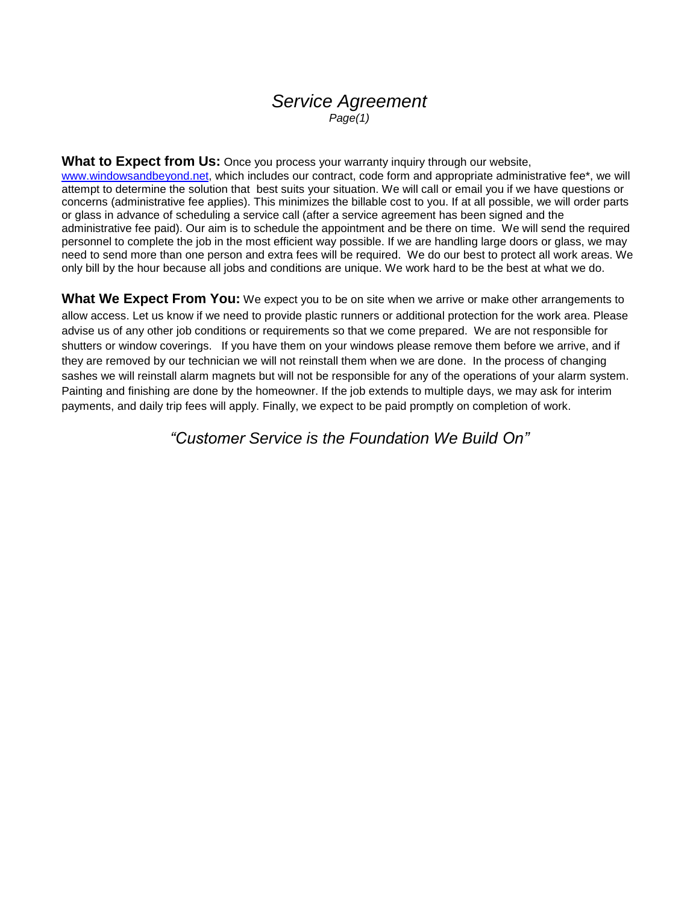## *Service Agreement Page(1)*

**What to Expect from Us:** Once you process your warranty inquiry through our website[,](http://www.windowsandbeyond.net/) [www.windowsandbeyond.net,](http://www.windowsandbeyond.net/) which includes our contract, code form and appropriate administrative fee\*, we will attempt to determine the solution that best suits your situation. We will call or email you if we have questions or concerns (administrative fee applies). This minimizes the billable cost to you. If at all possible, we will order parts or glass in advance of scheduling a service call (after a service agreement has been signed and the administrative fee paid). Our aim is to schedule the appointment and be there on time. We will send the required personnel to complete the job in the most efficient way possible. If we are handling large doors or glass, we may need to send more than one person and extra fees will be required. We do our best to protect all work areas. We only bill by the hour because all jobs and conditions are unique. We work hard to be the best at what we do.

**What We Expect From You:** We expect you to be on site when we arrive or make other arrangements to allow access. Let us know if we need to provide plastic runners or additional protection for the work area. Please advise us of any other job conditions or requirements so that we come prepared. We are not responsible for shutters or window coverings. If you have them on your windows please remove them before we arrive, and if they are removed by our technician we will not reinstall them when we are done. In the process of changing sashes we will reinstall alarm magnets but will not be responsible for any of the operations of your alarm system. Painting and finishing are done by the homeowner. If the job extends to multiple days, we may ask for interim payments, and daily trip fees will apply. Finally, we expect to be paid promptly on completion of work.

*"Customer Service is the Foundation We Build On"*